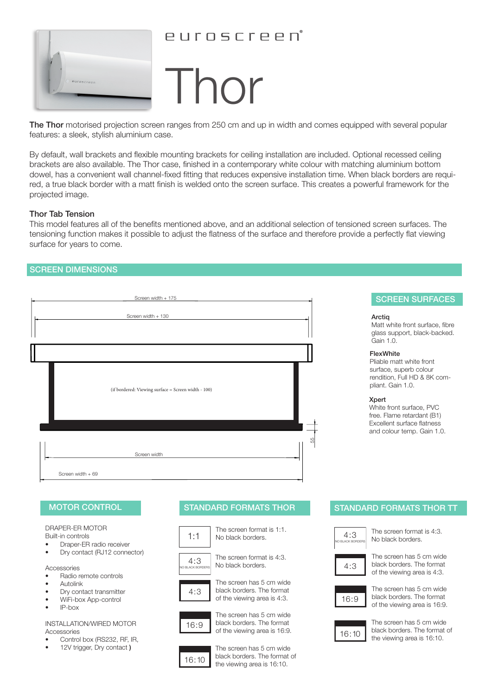

# euroscreen°

# Thor

The Thor motorised projection screen ranges from 250 cm and up in width and comes equipped with several popular features: a sleek, stylish aluminium case.

By default, wall brackets and flexible mounting brackets for ceiling installation are included. Optional recessed ceiling brackets are also available. The Thor case, finished in a contemporary white colour with matching aluminium bottom dowel, has a convenient wall channel-fixed fitting that reduces expensive installation time. When black borders are required, a true black border with a matt finish is welded onto the screen surface. This creates a powerful framework for the projected image.

## Thor Tab Tension

This model features all of the benefits mentioned above, and an additional selection of tensioned screen surfaces. The tensioning function makes it possible to adjust the flatness of the surface and therefore provide a perfectly flat viewing surface for years to come.

# SCREEN DIMENSIONS



# SCREEN SURFACES

## **Arctig**

Matt white front surface, fibre glass support, black-backed. Gain 1.0.

## FlexWhite

Pliable matt white front surface, superb colour rendition, Full HD & 8K compliant. Gain 1.0.

## Xpert

White front surface, PVC free. Flame retardant (B1) Excellent surface flatness and colour temp. Gain 1.0.

DRAPER-ER MOTOR Built-in controls

- Draper-ER radio receiver
- Dry contact (RJ12 connector)

Accessories

- Radio remote controls
- **Autolink**
- Dry contact transmitter
- WiFi-box App-control
- IP-box

## INSTALLATION/WIRED MOTOR Accessories

- Control box (RS232, RF, IR,
- 12V trigger, Dry contact)





The screen has 5 cm wide black borders. The format of the viewing area is 4:3.



The screen has 5 cm wide black borders. The format of the viewing area is 16:9.



The screen has 5 cm wide black borders. The format of the viewing area is 16:10.

# MOTOR CONTROL STANDARD FORMATS THOR STANDARD FORMATS THOR TT



The screen format is 4:3. No black borders.



The screen has 5 cm wide black borders. The format of the viewing area is 4:3.



The screen has 5 cm wide black borders. The format of the viewing area is 16:9.



The screen has 5 cm wide black borders. The format of the viewing area is 16:10.